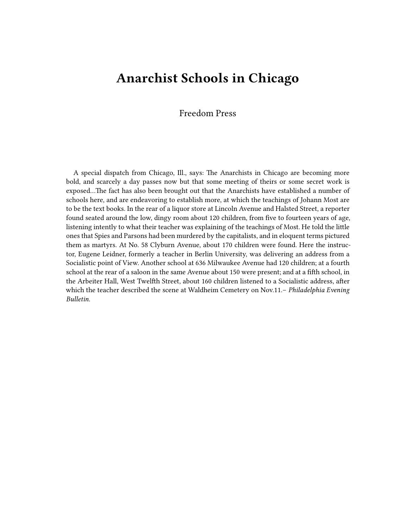## **Anarchist Schools in Chicago**

## Freedom Press

A special dispatch from Chicago, Ill., says: The Anarchists in Chicago are becoming more bold, and scarcely a day passes now but that some meeting of theirs or some secret work is exposed…The fact has also been brought out that the Anarchists have established a number of schools here, and are endeavoring to establish more, at which the teachings of Johann Most are to be the text books. In the rear of a liquor store at Lincoln Avenue and Halsted Street, a reporter found seated around the low, dingy room about 120 children, from five to fourteen years of age, listening intently to what their teacher was explaining of the teachings of Most. He told the little ones that Spies and Parsons had been murdered by the capitalists, and in eloquent terms pictured them as martyrs. At No. 58 Clyburn Avenue, about 170 children were found. Here the instructor, Eugene Leidner, formerly a teacher in Berlin University, was delivering an address from a Socialistic point of View. Another school at 636 Milwaukee Avenue had 120 children; at a fourth school at the rear of a saloon in the same Avenue about 150 were present; and at a fifth school, in the Arbeiter Hall, West Twelfth Street, about 160 children listened to a Socialistic address, after which the teacher described the scene at Waldheim Cemetery on Nov.11.– *Philadelphia Evening Bulletin.*